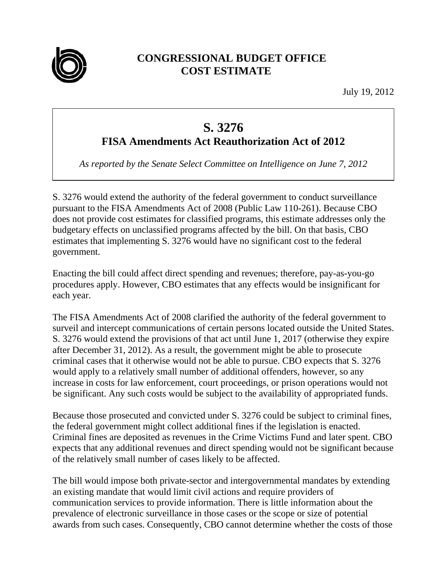

## **CONGRESSIONAL BUDGET OFFICE COST ESTIMATE**

July 19, 2012

## **S. 3276**

## **FISA Amendments Act Reauthorization Act of 2012**

*As reported by the Senate Select Committee on Intelligence on June 7, 2012* 

S. 3276 would extend the authority of the federal government to conduct surveillance pursuant to the FISA Amendments Act of 2008 (Public Law 110-261). Because CBO does not provide cost estimates for classified programs, this estimate addresses only the budgetary effects on unclassified programs affected by the bill. On that basis, CBO estimates that implementing S. 3276 would have no significant cost to the federal government.

Enacting the bill could affect direct spending and revenues; therefore, pay-as-you-go procedures apply. However, CBO estimates that any effects would be insignificant for each year.

The FISA Amendments Act of 2008 clarified the authority of the federal government to surveil and intercept communications of certain persons located outside the United States. S. 3276 would extend the provisions of that act until June 1, 2017 (otherwise they expire after December 31, 2012). As a result, the government might be able to prosecute criminal cases that it otherwise would not be able to pursue. CBO expects that S. 3276 would apply to a relatively small number of additional offenders, however, so any increase in costs for law enforcement, court proceedings, or prison operations would not be significant. Any such costs would be subject to the availability of appropriated funds.

Because those prosecuted and convicted under S. 3276 could be subject to criminal fines, the federal government might collect additional fines if the legislation is enacted. Criminal fines are deposited as revenues in the Crime Victims Fund and later spent. CBO expects that any additional revenues and direct spending would not be significant because of the relatively small number of cases likely to be affected.

The bill would impose both private-sector and intergovernmental mandates by extending an existing mandate that would limit civil actions and require providers of communication services to provide information. There is little information about the prevalence of electronic surveillance in those cases or the scope or size of potential awards from such cases. Consequently, CBO cannot determine whether the costs of those